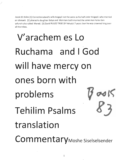.book 83 thilim [1] Correctionsdavid's wife Avigayil not the same as his half sister Avigayil. who married an Ishmaeli. [2] pharaohs daughter Batya and Moirriam both married the same man kolev ben yafunah.also called Mered. [3] David RULED TRIBE OF Yehudal 7 years then he wsa crowned king over all the tribes.

## V'arachem es Lo Ruchama and I God will have mercy on ones born with problems  $6 \text{ eV}$ Tehilim Psalms **&j** translation CommentaryMoshe Siselselsender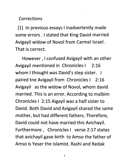## *Corrections*

*[1] In previous essays Iinadvertently made some errors . Istated that King David married Avigayil widow of Novol from Carmel Israel. That is correct.*

*However, I confused Avigayil with an other Avigayil mentioned in Chronicles I 2:16 whom Ithought was David's step sister. I paired tne Avigayil from Chronicles I 2:16 Avigayil as the widow of Novol, whom david married. This is an error. According to malbim Chronicles I 2:15 Aigayil was a half sister to David. Both David and Avigayil shared the same mother, but had different fathers. Therefore, David could not have married this Avichayil. Furthermore, Chronicles I verse 2:17 states that avichayil gave birth to Amso the father of Amso is Yeser the Islamist. Rashi and Redak*

 $\overline{2}$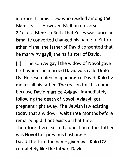*interpret Islamist Jew who resided among the islamists. However Malbim on verse 2:lcites Medrish Ruth that Yeses was born an Ismalite converted changed his name to Yithro athen Yishai the father of David consented that he marry Avigayil, the half sister of David.*

*[2] The son Avigayil the widow of Novol gave birth when she married David was called kulo Ov. He resembled in appearance David. Kulo Ov means all his father. The reason for this name because David married Avigayil immediately following the death of Novol. Avigayil got pregnant right away. The Jewish law existing today that a widow wait three months before remarrying did not exists at that time. Therefore there existed a question if the father was Novol her previous husband or David.Therfore the name given was Kulo OV completely like the father- David.*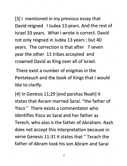*[3] I mentioned in my previous essay that David reigned IJudea 13 years. And the rest of Israel 33 years. What Iwrote is correct. David not only reigned in Judea 13 years; but 40 years. The correction is that after 7 seven year the other 11 tribes accepted and crowned David as King over all of Israel.*

*There exist a number of enigmas in the Pentateuch and the book of Kings that Iwould like to clarify.*

*[4] In Genesis 11;29 [end parshas Noah] it states that Avram married Sarai. "the father of Yisco " There exists a commentator who identifies Yisco as Sarai and her father as Terech, who also is the father of Abraham. Rash does not accept this interpretation because in verse Genesis 11:31 it states that " Terach the father of Abram took his son Abram and Sarai*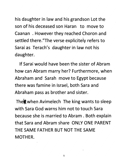*his daughter in law and his grandson Lot the son of his deceased son Haran to move to Caanan . However they reached Choron and settled there."The verse explicitely refers to Sarai as Terach's daughter in law not his daughter.*

*If Sarai would have been the sister of Abram how can Abram marry her? Furthermore, when Abraham and Sarah move to Egypt because there was famine in Israel, both Sara and Abraham pass as brother and sister.*

*Theft when Avimelech The king wants to sleep with Sara God warns him not to touch Sara because she is married to Abram . Both explain that Sara and Abram share ONLY ONE PARENT THE SAME FATHER BUT NOT THE SAME MOTHER.*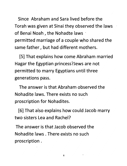*Since Abraham and Sara lived before the Torah was given at Sinai they observed the laws of Benai Noah, the Nohadte laws permitted marriage of a couple who shared the same father, but had different mothers.*

*[5] That explains how come Abraham married Hagar the Egyptian princess?Jews are not permitted to marry Egyptians until three generations pass.*

*The answer is that Abraham observed the Nohadite laws. There exists no such proscription for Nohadites.*

*[6] That also explains how could Jacob marry two sisters Lea and Rachel?*

*The answer is that Jacob observed the Nohadite laws . There exists no such proscription .*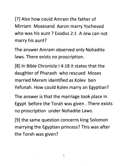*[7] Also how could Amram the father of Mirriam Mosesand Aaron marry Yocheved who was his aunt ? Exodus 2:1 A Jew can not marry his aunt?*

*The answer Amram observed only Nohadite laws. There exists no proscription.*

*[8] In Bible Chronicle I4:18 it states that the daughter of Pharaoh who rescued Moses married Merem identified as Kolev ben Yefunah. How could Kolev marry an Egyptian?*

*The answer is that the marriage took place in Egypt before the Torah was given . There exists no proscription under Nohadite Laws.*

*[9] the same question concerns king Solomon marrying the Egyptian princess? This was after the Torah was given?*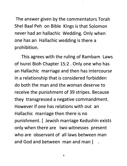*The answer given by the commentators Torah Shel Baal Peh on Bible Kings is that Solomon never had an hallachic Wedding. Only when one has an Hallachic wedding is there a prohibition.*

*This agrees with the ruling of Rambam Laws of Isurei Bioh Chapter 15:2 . Only one who has an Hallachic marriage and then has intercourse in a relationship that is considered forbidden do both the man and the woman deserve to receive the punishment of 39 stripes. Because they transgressed a negative commandment. However if one has relations with out an Hallachic marriage then there is no punishment. [ Jewish marriage Kedushin exists only when there are two witnesses present who are observant of all laws between man and God and between man and man ] .*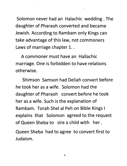*Solomon never had an Halachic wedding . The daughter of Pharaoh converted and became Jewish. According to Rambam only Kings can take advantage of this law, not commoners Laws of marriage chapter 1..*

*A commoner must have an Hallachic marriage. One is forbidden to have relations otherwise.*

*Shimson Samson had Deliah convert before he took her as a wife. Solomon had the daughter of Pharaoh convert before he took her as a wife. Such is the explanation of Rambam. Torah Shel al Peh on Bible Kings I explains that Solomon agreed to the request of Queen Sheba to sire a child with her.*

*Queen Sheba had to agree to convert first to Judaism.*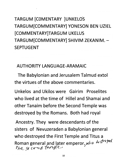## *TARGUM [COMENTARY ]UNKELOS TARGUM[COMMENTARY] YONESON BEN UZIEL [COMMENTARY]TARGUM UKELUS TARGUMfCOMMENTARY] SHIVIM ZEKANIM. - SEPTUGENT*

*AUTHORITY LANGUAGE-ARAMAIC*

*The Babylonian and Jerusalem Talmud extol the virtues of the above commentaries.*

*Unkelos and Ukilos were Gairim Proselites who lived at the time of Hillel and Shamai and other Tanaim before the Second Temple was destroyed by the Romans. Both had royal*

*Ancestry. They were descendants of the sisters of Nevuzeraden a Babylonian general who destroyed the First Temple and Titus a Roman general and later emperor, who destried*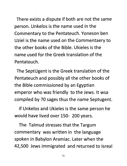There exists a dispute if both are not the same person. Unkelos is the name used in the Commentary to the Pentateuch. Yoneson ben Uziel is the name used on the Commentaery to the other books of the Bible. Ukieles is the name used for the Greek translation of the Pentateuch.

The SeptUgent is the Greek translation of the Pentateuch and possibly all the other books of the Bible commissioned by an Egyptian emperor who was friendly to the Jews. It wsa compiled by 70 sages thus the name Septugent.

if Unkelos and Ukieles is the same person he would have lived over 150- 200 years.

The Talmud stresses that the Targum commentary was written in the language spoken in Babylon Aramiac. Later when the 42,500 Jews immigrated and returned to Isreal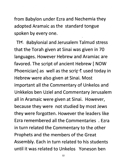*from Babylon under Ezra and Nechemia they adopted Aramaic as the standard tongue spoken by every one.*

*TK Babylonial and Jerusalem Talmud stress that the Torah given at Sinai was given in 70 languages. However Hebrew and Aramiac are favored. The script of ancient Hebrew [ NOW Phoenician] as well as the script used today in Hebrew were also given at Sinai. Most important all the Commentary of Unkelos and Unkkelos ben Uziel and Commentary Jerusalem all in Aramaic were given at Sinai. However, because they were not studied by most Jews they were forgotten. However the leaders like Ezra remembered all the Commentaries . Ezra in turn related the Commentary to the other Prophets and the members of the Great Assembly. Each in turn related to his students until it was related to Unkelos Yoneson ben*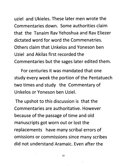*uziel and Ukieles. These later men wrote the Commentaries down. Some authorities claim that the Tanaim Rav Yehoshua and Rav Eliezer dictated word for word the Commenatries. Others claim that Unkelos and Yoneson ben Uziel and Akilas first recorded the Commentaries but the sages later edited them.*

*For centuries it was mandated that one study every week the portion of the Pentatuech two times and study the Commentary of Unkelos or Yoneson ben Uziel.*

*The upshot to this discussion is that the Commentaries are authoritative. However because of the passage of time and old manuscripts got worn out or lost the replacements have many scribal errors of omissions or commissions since many scribes did not understand Aramaic. Even after the*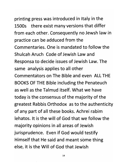## *printing press was introduced in Italy in the 1500s there exist many versions that differ from each other. Consequently no Jewsh law in*

*practice can be adduced from the Commentaries. One is mandated to follow the Shulcah Aruch Code of Jewish Law and Responsa to decide issues of Jewish Law. The same analysis applies to all other Commentators on The Bible and even ALL THE BOOKS OF THE Bible including the Penateuch as well as the Talmud itself. What we have today isthe consensus of the majority of the greatest Rabbis Orthodox as to the authenticity of any part of all these books. Achrei rabim lehatos. It is the will of God that we follow the majority opinions in all areas of Jewish jurisprudence. Even if God would testify Himself that He said and meant some thing else, it is the Will of God that Jewish*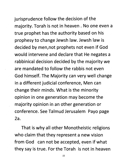jurisprudence follow the decision of the majority. Torah is not in heaven . No one even a true prophet has the authority based on his prophesy to change Jewsh law. Jewsh law is decided by men,not prophets not even if God would intervene and declare that He negates a rabbinical decision decided by the majority we are mandated to follow the rabbis not even God himself. The Majority can very well change in a different judicial conference, Men can change their minds. What is the minority opinion in one generation may become the majority opinion in an other generation or conference. See Talmud Jerusalem Payo page 2a.

That is why all other Monotheistic religions who claim that they represent a new vision from God can not be accepted, even if what they say is true. For the Torah is not in heaven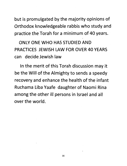*but is promulgated by the majority opinions of Orthodox knowledgeable rabbis who study and practice the Torah for a minimum of 40 years.*

*ONLY ONE WHO HAS STUDIED AND PRACTICES JEWISH LAW FOR OVER 40 YEARS can decide Jewish law*

*In the merit of this Torah discussion may it be the Will of the Almighty to sends a speedy recovery and enhance the health of the infant Ruchama Liba Yaafe daughter of Naomi Rina among the other ill persons in Israel and all over the world.*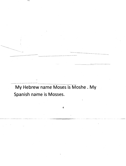My Hebrew name Moses is Moshe . My Spanish name is Mosses.

4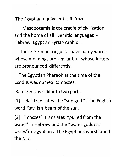*The Egyptian equivalent is Ra'mzes.*

*Mesopotamia is the cradle of civilization and the home of all Semitic languages - Hebrew Egyptian Syrian Arabic .*

*These Semitic tongues -have many words whose meanings are similar but whose letters are pronounced differently.*

*The Egyptian Pharaoh at the time of the Exodus was named Ramoszes.*

*Ramoszes is split into two parts.*

*[1] "Ra" translates the "sun god ". The English word Ray is a beam of the sun.*

*[2] "moszes" translates "pulled from the water" in Hebrew and the "water goddess Oszes"in Egyptian. The Egyptians worshipped the Nile.*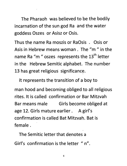*The Pharaoh was believed to be the bodily incarnation of the sun god Ra and the water goddess Oszes or Asisz or Osis.*

*Thus the name Ra moszis or RaOsis . Osis or Asis in Hebrew means woman . The "m " in the th name Ra "m " oszes represents the 13 letter in the Hebrew Semitic alphabet. The number 13 has great religious significance.*

*It represents the transition of a boy to man hood and becoming obliged to all religious rites. It is called confirmation or Bar Mitzvah Bar means male Girls become obliged at age 12. Girls mature earlier. A girl's confirmation is called Bat Mitzvah. Bat is female.*

*The Semitic letter that denotes a Girl's confirmation is the letter " n".*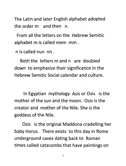*The Latin and later English alphabet adopted the order m and then n.*

*From all the letters on the Hebrew Semitic alphabet m is called mem mm .*

*n is called nun nn .*

*Both the letters m and n are doubled down to emphasize their significance in the Hebrew Semitic Social calendar and culture.*

*In Egyptian mythology Asis or Osis is the mother of the sun and the moon. Osis is the creator and mother of the Nile. She is the goddess of the Nile.*

*Osis is the original Maddona cradelling her baby Horus. There exists to this day in Rome underground caves dating back to Roman times called catacombs that have paintings on*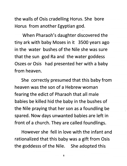*the walls of Osis cradelling Horus. She bore Horus from another Egyptian god.*

*When Pharaoh's daughter discovered the tiny ark with baby Moses in it 3500 years ago in the water bushes of the Nile she was sure that the sun god Ra and the water goddess Oszes or Osis had presented her with a baby from heaven.*

*She correctly presumed that this baby from heaven was the son of a Hebrew woman fearing the edict of Pharaoh that all male babies be killed hid the baby in the bushes of the Nile praying that her son as a foundling be spared. Now days unwanted babies are left in front of a church. They are called foundlings.*

*However she fell in love with the infant and rationalized that this baby was a gift from Osis the goddesss of the Nile. She adopted this*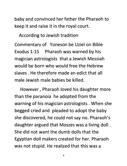*baby and convinced her father the Pharaoh to keep it and raise it in the royal court.*

*According to Jewish tradition*

*Commentary of Yoneson be Uziel on Bible Exodus 1:15 Pharaoh was warned by his magician astrologists that a Jewish Messiah would be born who would free the Hebrew slaves . He therefore made an edict that all male Jewish male babies be killed.*

*However, Pharaoh loved his daughter more than the paranoia he adopted from the warning of his magician astrologists . When she begged cried and pleaded to adopt the baby she discovered, he could not say no. Pharaoh's daughter argued that Moszes was a living doll. She did not want the dumb dolls that the Egyptian doll makers created for her. Pharaoh was not stupid. He realized that this was a*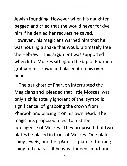Jewish foundling. However when his daughter begged and cried that she would never forgive him if he denied her request he caved. However, his magicians warned him that he was housing a snake that would ultimately free the Hebrews. This argument was supported when little Moszes sitting on the lap of Pharaoh grabbed his crown and placed it on his own head.

The daughter of Pharaoh interrupted the Magicians and pleaded that little Moszes was only a child totally ignorant of the symbolic significance of grabbing the crown from Pharaoh and placing it on his own head. The magicians proposed a test to test the intelligence of Moszes . They proposed that two plates be placed in front of Moszes. One plate shiny jewels, another plate - a plate of burning shiny red coals . If he was indeed smart and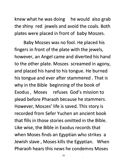*knew what he was doing he would also grab the shiny red jewels and avoid the coals. Both plates were placed in front of baby Moszes.*

*Baby Mozses was no fool. He placed his fingers in front of the plate with the jewels, however, an Angel came and diverted his hand to the other plate. Moszes screamed in agony, and placed his hand to his tongue. He burned histongue and ever after stammered . That is why in the Bible beginning of the book of Exodus, Moses refuses God's mission to plead before Pharaoh because he stammers. However, Moszes' life is saved. This story is recorded from Sefer Yuchen an ancient book that fills in those stories omitted in the Bible. Like wise, the Bible in Exodus records that when Moses finds an Egyptian who strikes a Jewish slave, Moses kills the Egyptian. When Pharaoh hears this news he condemns Moses*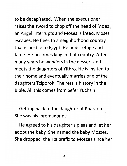*to be decapitated. When the executioner raises the sword to chop off the head of Moes, an Angel interrupts and Moses is freed. Moses escapes. He flees to a neighborhood country that is hostile to Egypt. He finds refuge and fame. He becomes king in that country. After many years he wanders in the dessert and meets the daughters of Yithro. He is invited to their home and eventually marries one of the daughters Tziporoh. The rest is history in the Bible. All this comes from Sefer Yuchsin .*

*Getting back to the daughter of Pharaoh. She was his premadonna.*

*He agreed to his daughter's pleas and let her adopt the baby She named the baby Moszes. She dropped the Ra prefix to Moszes since her*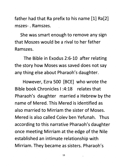*father had that Ra prefix to his name [1] Ra[2] mszes-. Ramszes.*

*She was smart enough to remove any sign that Moszes would be a rival to her father Ramszes.*

*The Bible in Exodus 2:6-10 after relating the story how Moses was saved does not say any thing else about Pharaoh's daughter.*

*However, Ezra 500 [BCE] who wrote the Bible book Chronicles 1:4:18 relates that Pharaoh's daughter married a Hebrew by the name of Mered. This Mered is identified as also married to Mirriam the sister of Moses. Mered is also called Colev ben Yefunah. Thus according to this narrative Pharaoh's daughter once meeting Mirriam at the edge of the Nile established an intimate relationship with Mirriam. They became as sisters. Pharaoh's*